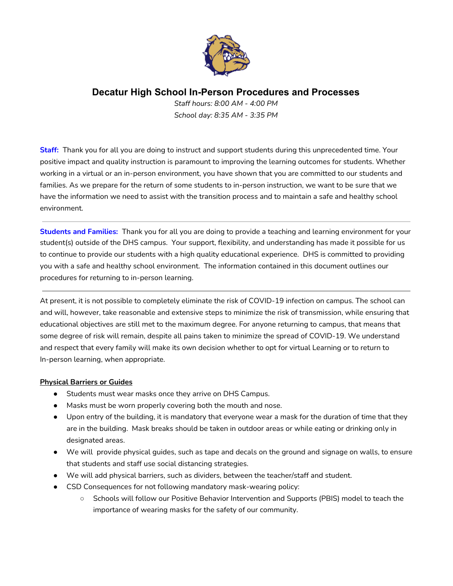

*Staff hours: 8:00 AM - 4:00 PM School day: 8:35 AM - 3:35 PM*

**Staff:** Thank you for all you are doing to instruct and support students during this unprecedented time. Your positive impact and quality instruction is paramount to improving the learning outcomes for students. Whether working in a virtual or an in-person environment, you have shown that you are committed to our students and families. As we prepare for the return of some students to in-person instruction, we want to be sure that we have the information we need to assist with the transition process and to maintain a safe and healthy school environment.

**Students and Families:** Thank you for all you are doing to provide a teaching and learning environment for your student(s) outside of the DHS campus. Your support, flexibility, and understanding has made it possible for us to continue to provide our students with a high quality educational experience. DHS is committed to providing you with a safe and healthy school environment. The information contained in this document outlines our procedures for returning to in-person learning.

At present, it is not possible to completely eliminate the risk of COVID-19 infection on campus. The school can and will, however, take reasonable and extensive steps to minimize the risk of transmission, while ensuring that educational objectives are still met to the maximum degree. For anyone returning to campus, that means that some degree of risk will remain, despite all pains taken to minimize the spread of COVID-19. We understand and respect that every family will make its own decision whether to opt for virtual Learning or to return to In-person learning, when appropriate.

#### **Physical Barriers or Guides**

- Students must wear masks once they arrive on DHS Campus.
- Masks must be worn properly covering both the mouth and nose.
- Upon entry of the building, it is mandatory that everyone wear a mask for the duration of time that they are in the building. Mask breaks should be taken in outdoor areas or while eating or drinking only in designated areas.
- We will provide physical guides, such as tape and decals on the ground and signage on walls, to ensure that students and staff use social distancing strategies.
- We will add physical barriers, such as dividers, between the teacher/staff and student.
- CSD Consequences for not following mandatory mask-wearing policy:
	- Schools will follow our Positive Behavior Intervention and Supports (PBIS) model to teach the importance of wearing masks for the safety of our community.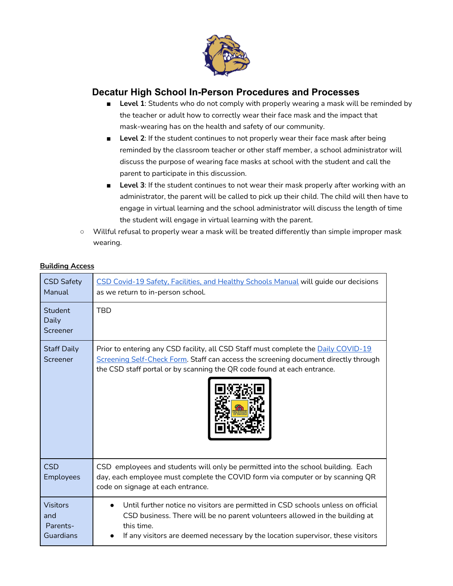

- **Level 1**: Students who do not comply with properly wearing a mask will be reminded by the teacher or adult how to correctly wear their face mask and the impact that mask-wearing has on the health and safety of our community.
- Level 2: If the student continues to not properly wear their face mask after being reminded by the classroom teacher or other staff member, a school administrator will discuss the purpose of wearing face masks at school with the student and call the parent to participate in this discussion.
- **Level 3**: If the student continues to not wear their mask properly after working with an administrator, the parent will be called to pick up their child. The child will then have to engage in virtual learning and the school administrator will discuss the length of time the student will engage in virtual learning with the parent.
- Willful refusal to properly wear a mask will be treated differently than simple improper mask wearing.

|  |  | <b>Building Access</b> |
|--|--|------------------------|
|  |  |                        |

| <b>CSD Safety</b><br>Manual                     | CSD Covid-19 Safety, Facilities, and Healthy Schools Manual will guide our decisions<br>as we return to in-person school.                                                                                                                                        |
|-------------------------------------------------|------------------------------------------------------------------------------------------------------------------------------------------------------------------------------------------------------------------------------------------------------------------|
| Student<br>Daily<br>Screener                    | <b>TBD</b>                                                                                                                                                                                                                                                       |
| <b>Staff Daily</b><br>Screener                  | Prior to entering any CSD facility, all CSD Staff must complete the <b>Daily COVID-19</b><br>Screening Self-Check Form. Staff can access the screening document directly through<br>the CSD staff portal or by scanning the QR code found at each entrance.      |
| <b>CSD</b><br>Employees                         | CSD employees and students will only be permitted into the school building. Each<br>day, each employee must complete the COVID form via computer or by scanning QR<br>code on signage at each entrance.                                                          |
| <b>Visitors</b><br>and<br>Parents-<br>Guardians | Until further notice no visitors are permitted in CSD schools unless on official<br>CSD business. There will be no parent volunteers allowed in the building at<br>this time.<br>If any visitors are deemed necessary by the location supervisor, these visitors |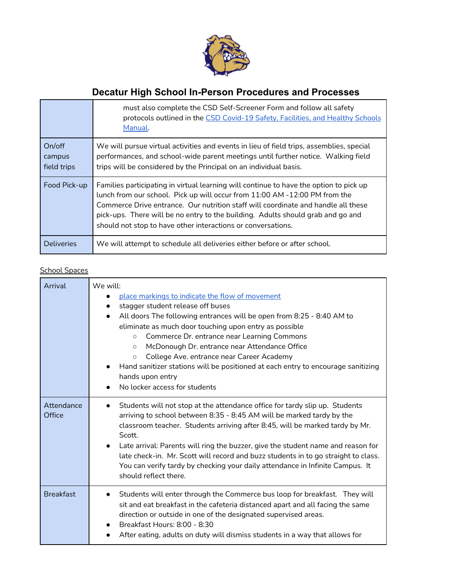

|                                 | must also complete the CSD Self-Screener Form and follow all safety<br>protocols outlined in the CSD Covid-19 Safety, Facilities, and Healthy Schools<br>Manual.                                                                                                                                                                                                                                             |
|---------------------------------|--------------------------------------------------------------------------------------------------------------------------------------------------------------------------------------------------------------------------------------------------------------------------------------------------------------------------------------------------------------------------------------------------------------|
| On/off<br>campus<br>field trips | We will pursue virtual activities and events in lieu of field trips, assemblies, special<br>performances, and school-wide parent meetings until further notice. Walking field<br>trips will be considered by the Principal on an individual basis.                                                                                                                                                           |
| Food Pick-up                    | Families participating in virtual learning will continue to have the option to pick up<br>lunch from our school. Pick up will occur from 11:00 AM -12:00 PM from the<br>Commerce Drive entrance. Our nutrition staff will coordinate and handle all these<br>pick-ups. There will be no entry to the building. Adults should grab and go and<br>should not stop to have other interactions or conversations. |
| <b>Deliveries</b>               | We will attempt to schedule all deliveries either before or after school.                                                                                                                                                                                                                                                                                                                                    |

## School Spaces

| Arrival              | We will:<br>place markings to indicate the flow of movement<br>stagger student release off buses<br>All doors The following entrances will be open from 8:25 - 8:40 AM to<br>eliminate as much door touching upon entry as possible<br>Commerce Dr. entrance near Learning Commons<br>$\circ$<br>McDonough Dr. entrance near Attendance Office<br>$\circ$<br>College Ave. entrance near Career Academy<br>$\circ$<br>Hand sanitizer stations will be positioned at each entry to encourage sanitizing<br>hands upon entry<br>No locker access for students |
|----------------------|------------------------------------------------------------------------------------------------------------------------------------------------------------------------------------------------------------------------------------------------------------------------------------------------------------------------------------------------------------------------------------------------------------------------------------------------------------------------------------------------------------------------------------------------------------|
| Attendance<br>Office | Students will not stop at the attendance office for tardy slip up. Students<br>arriving to school between 8:35 - 8:45 AM will be marked tardy by the<br>classroom teacher. Students arriving after 8:45, will be marked tardy by Mr.<br>Scott.<br>Late arrival: Parents will ring the buzzer, give the student name and reason for<br>late check-in. Mr. Scott will record and buzz students in to go straight to class.<br>You can verify tardy by checking your daily attendance in Infinite Campus. It<br>should reflect there.                         |
| <b>Breakfast</b>     | Students will enter through the Commerce bus loop for breakfast. They will<br>sit and eat breakfast in the cafeteria distanced apart and all facing the same<br>direction or outside in one of the designated supervised areas.<br>Breakfast Hours: 8:00 - 8:30<br>After eating, adults on duty will dismiss students in a way that allows for                                                                                                                                                                                                             |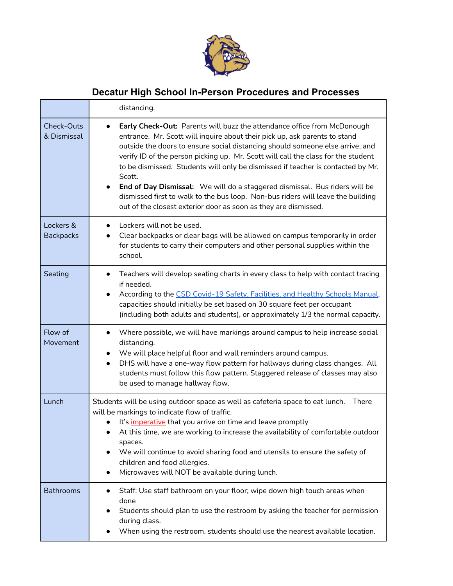

|                               | distancing.                                                                                                                                                                                                                                                                                                                                                                                                                                                                                                                                                                                                                                                         |
|-------------------------------|---------------------------------------------------------------------------------------------------------------------------------------------------------------------------------------------------------------------------------------------------------------------------------------------------------------------------------------------------------------------------------------------------------------------------------------------------------------------------------------------------------------------------------------------------------------------------------------------------------------------------------------------------------------------|
| Check-Outs<br>& Dismissal     | <b>Early Check-Out:</b> Parents will buzz the attendance office from McDonough<br>entrance. Mr. Scott will inquire about their pick up, ask parents to stand<br>outside the doors to ensure social distancing should someone else arrive, and<br>verify ID of the person picking up. Mr. Scott will call the class for the student<br>to be dismissed. Students will only be dismissed if teacher is contacted by Mr.<br>Scott.<br>End of Day Dismissal: We will do a staggered dismissal. Bus riders will be<br>dismissed first to walk to the bus loop. Non-bus riders will leave the building<br>out of the closest exterior door as soon as they are dismissed. |
| Lockers &<br><b>Backpacks</b> | Lockers will not be used.<br>$\bullet$<br>Clear backpacks or clear bags will be allowed on campus temporarily in order<br>$\bullet$<br>for students to carry their computers and other personal supplies within the<br>school.                                                                                                                                                                                                                                                                                                                                                                                                                                      |
| Seating                       | Teachers will develop seating charts in every class to help with contact tracing<br>$\bullet$<br>if needed.<br>According to the CSD Covid-19 Safety, Facilities, and Healthy Schools Manual,<br>capacities should initially be set based on 30 square feet per occupant<br>(including both adults and students), or approximately 1/3 the normal capacity.                                                                                                                                                                                                                                                                                                          |
| Flow of<br>Movement           | Where possible, we will have markings around campus to help increase social<br>$\bullet$<br>distancing.<br>We will place helpful floor and wall reminders around campus.<br>DHS will have a one-way flow pattern for hallways during class changes. All<br>$\bullet$<br>students must follow this flow pattern. Staggered release of classes may also<br>be used to manage hallway flow.                                                                                                                                                                                                                                                                            |
| Lunch                         | Students will be using outdoor space as well as cafeteria space to eat lunch.<br>There<br>will be markings to indicate flow of traffic.<br>It's <i>imperative</i> that you arrive on time and leave promptly<br>At this time, we are working to increase the availability of comfortable outdoor<br>spaces.<br>We will continue to avoid sharing food and utensils to ensure the safety of<br>children and food allergies.<br>Microwaves will NOT be available during lunch.                                                                                                                                                                                        |
| <b>Bathrooms</b>              | Staff: Use staff bathroom on your floor; wipe down high touch areas when<br>done<br>Students should plan to use the restroom by asking the teacher for permission<br>$\bullet$<br>during class.<br>When using the restroom, students should use the nearest available location.                                                                                                                                                                                                                                                                                                                                                                                     |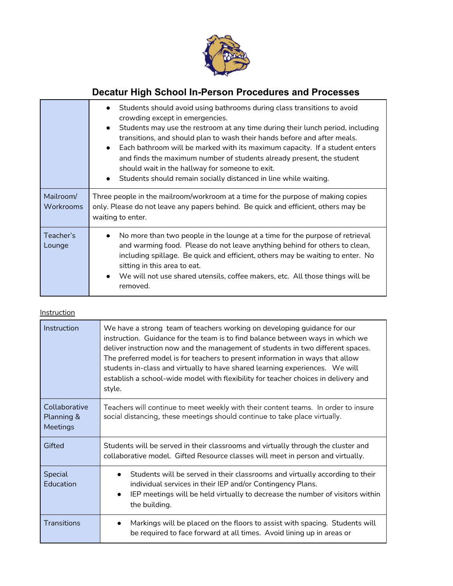

|                        | Students should avoid using bathrooms during class transitions to avoid<br>$\bullet$<br>crowding except in emergencies.<br>Students may use the restroom at any time during their lunch period, including<br>$\bullet$<br>transitions, and should plan to wash their hands before and after meals.<br>• Each bathroom will be marked with its maximum capacity. If a student enters<br>and finds the maximum number of students already present, the student<br>should wait in the hallway for someone to exit.<br>Students should remain socially distanced in line while waiting.<br>$\bullet$ |
|------------------------|--------------------------------------------------------------------------------------------------------------------------------------------------------------------------------------------------------------------------------------------------------------------------------------------------------------------------------------------------------------------------------------------------------------------------------------------------------------------------------------------------------------------------------------------------------------------------------------------------|
| Mailroom/<br>Workrooms | Three people in the mailroom/workroom at a time for the purpose of making copies<br>only. Please do not leave any papers behind. Be quick and efficient, others may be<br>waiting to enter.                                                                                                                                                                                                                                                                                                                                                                                                      |
| Teacher's<br>Lounge    | No more than two people in the lounge at a time for the purpose of retrieval<br>and warming food. Please do not leave anything behind for others to clean,<br>including spillage. Be quick and efficient, others may be waiting to enter. No<br>sitting in this area to eat.<br>We will not use shared utensils, coffee makers, etc. All those things will be<br>$\bullet$<br>removed.                                                                                                                                                                                                           |

### **Instruction**

| Instruction                             | We have a strong team of teachers working on developing guidance for our<br>instruction. Guidance for the team is to find balance between ways in which we<br>deliver instruction now and the management of students in two different spaces.<br>The preferred model is for teachers to present information in ways that allow<br>students in-class and virtually to have shared learning experiences. We will<br>establish a school-wide model with flexibility for teacher choices in delivery and<br>style. |
|-----------------------------------------|----------------------------------------------------------------------------------------------------------------------------------------------------------------------------------------------------------------------------------------------------------------------------------------------------------------------------------------------------------------------------------------------------------------------------------------------------------------------------------------------------------------|
| Collaborative<br>Planning &<br>Meetings | Teachers will continue to meet weekly with their content teams. In order to insure<br>social distancing, these meetings should continue to take place virtually.                                                                                                                                                                                                                                                                                                                                               |
| Gifted                                  | Students will be served in their classrooms and virtually through the cluster and<br>collaborative model. Gifted Resource classes will meet in person and virtually.                                                                                                                                                                                                                                                                                                                                           |
| Special<br>Education                    | Students will be served in their classrooms and virtually according to their<br>individual services in their IEP and/or Contingency Plans.<br>IEP meetings will be held virtually to decrease the number of visitors within<br>$\bullet$<br>the building.                                                                                                                                                                                                                                                      |
| Transitions                             | Markings will be placed on the floors to assist with spacing. Students will<br>$\bullet$<br>be required to face forward at all times. Avoid lining up in areas or                                                                                                                                                                                                                                                                                                                                              |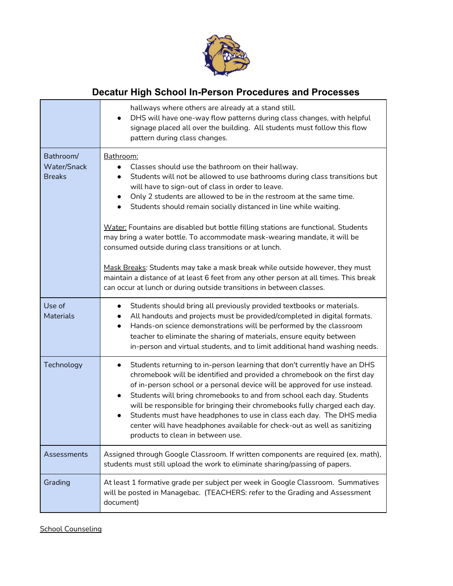

|                                           | hallways where others are already at a stand still.<br>DHS will have one-way flow patterns during class changes, with helpful<br>signage placed all over the building. All students must follow this flow<br>pattern during class changes.                                                                                                                                                                                                                                                                                                                                                                       |
|-------------------------------------------|------------------------------------------------------------------------------------------------------------------------------------------------------------------------------------------------------------------------------------------------------------------------------------------------------------------------------------------------------------------------------------------------------------------------------------------------------------------------------------------------------------------------------------------------------------------------------------------------------------------|
| Bathroom/<br>Water/Snack<br><b>Breaks</b> | Bathroom:<br>Classes should use the bathroom on their hallway.<br>Students will not be allowed to use bathrooms during class transitions but<br>$\bullet$<br>will have to sign-out of class in order to leave.<br>Only 2 students are allowed to be in the restroom at the same time.<br>$\bullet$<br>Students should remain socially distanced in line while waiting.<br>$\bullet$<br>Water: Fountains are disabled but bottle filling stations are functional. Students<br>may bring a water bottle. To accommodate mask-wearing mandate, it will be<br>consumed outside during class transitions or at lunch. |
|                                           | Mask Breaks: Students may take a mask break while outside however, they must<br>maintain a distance of at least 6 feet from any other person at all times. This break<br>can occur at lunch or during outside transitions in between classes.                                                                                                                                                                                                                                                                                                                                                                    |
| Use of<br><b>Materials</b>                | Students should bring all previously provided textbooks or materials.<br>All handouts and projects must be provided/completed in digital formats.<br>Hands-on science demonstrations will be performed by the classroom<br>$\bullet$<br>teacher to eliminate the sharing of materials, ensure equity between<br>in-person and virtual students, and to limit additional hand washing needs.                                                                                                                                                                                                                      |
| Technology                                | Students returning to in-person learning that don't currently have an DHS<br>$\bullet$<br>chromebook will be identified and provided a chromebook on the first day<br>of in-person school or a personal device will be approved for use instead.<br>Students will bring chromebooks to and from school each day. Students<br>$\bullet$<br>will be responsible for bringing their chromebooks fully charged each day.<br>Students must have headphones to use in class each day. The DHS media<br>center will have headphones available for check-out as well as sanitizing<br>products to clean in between use.  |
| Assessments                               | Assigned through Google Classroom. If written components are required (ex. math),<br>students must still upload the work to eliminate sharing/passing of papers.                                                                                                                                                                                                                                                                                                                                                                                                                                                 |
| Grading                                   | At least 1 formative grade per subject per week in Google Classroom. Summatives<br>will be posted in Managebac. (TEACHERS: refer to the Grading and Assessment<br>document)                                                                                                                                                                                                                                                                                                                                                                                                                                      |

**School Counseling**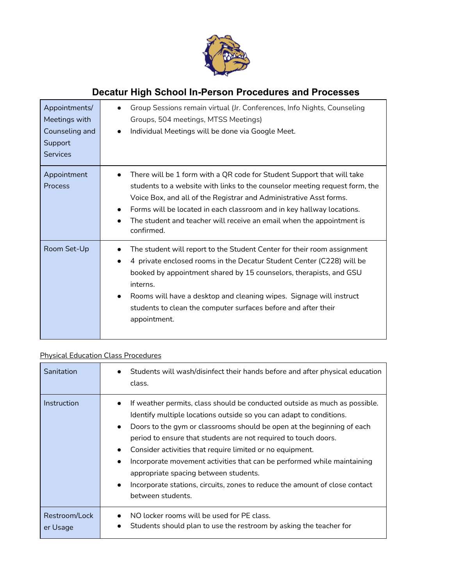

| Appointments/<br>Meetings with<br>Counseling and<br>Support<br><b>Services</b> | Group Sessions remain virtual (Jr. Conferences, Info Nights, Counseling<br>Groups, 504 meetings, MTSS Meetings)<br>Individual Meetings will be done via Google Meet.<br>$\bullet$                                                                                                                                                                                                           |
|--------------------------------------------------------------------------------|---------------------------------------------------------------------------------------------------------------------------------------------------------------------------------------------------------------------------------------------------------------------------------------------------------------------------------------------------------------------------------------------|
| Appointment<br>Process                                                         | There will be 1 form with a QR code for Student Support that will take<br>students to a website with links to the counselor meeting request form, the<br>Voice Box, and all of the Registrar and Administrative Asst forms.<br>Forms will be located in each classroom and in key hallway locations.<br>The student and teacher will receive an email when the appointment is<br>confirmed. |
| Room Set-Up                                                                    | The student will report to the Student Center for their room assignment<br>4 private enclosed rooms in the Decatur Student Center (C228) will be<br>booked by appointment shared by 15 counselors, therapists, and GSU<br>interns.<br>Rooms will have a desktop and cleaning wipes. Signage will instruct<br>students to clean the computer surfaces before and after their<br>appointment. |

## Physical Education Class Procedures

| Sanitation                | Students will wash/disinfect their hands before and after physical education<br>class.                                                                                                                                                                                                                                                                                                                                                                                                                                                                                                                        |
|---------------------------|---------------------------------------------------------------------------------------------------------------------------------------------------------------------------------------------------------------------------------------------------------------------------------------------------------------------------------------------------------------------------------------------------------------------------------------------------------------------------------------------------------------------------------------------------------------------------------------------------------------|
| Instruction               | If weather permits, class should be conducted outside as much as possible.<br>Identify multiple locations outside so you can adapt to conditions.<br>Doors to the gym or classrooms should be open at the beginning of each<br>$\bullet$<br>period to ensure that students are not required to touch doors.<br>Consider activities that require limited or no equipment.<br>Incorporate movement activities that can be performed while maintaining<br>appropriate spacing between students.<br>Incorporate stations, circuits, zones to reduce the amount of close contact<br>$\bullet$<br>between students. |
| Restroom/Lock<br>er Usage | NO locker rooms will be used for PE class.<br>Students should plan to use the restroom by asking the teacher for                                                                                                                                                                                                                                                                                                                                                                                                                                                                                              |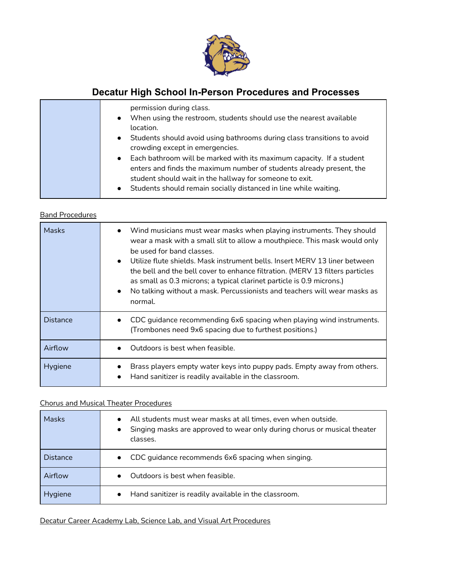

| permission during class.<br>When using the restroom, students should use the nearest available<br>$\bullet$<br>location.<br>• Students should avoid using bathrooms during class transitions to avoid<br>crowding except in emergencies.                                                   |
|--------------------------------------------------------------------------------------------------------------------------------------------------------------------------------------------------------------------------------------------------------------------------------------------|
| • Each bathroom will be marked with its maximum capacity. If a student<br>enters and finds the maximum number of students already present, the<br>student should wait in the hallway for someone to exit.<br>Students should remain socially distanced in line while waiting.<br>$\bullet$ |

### Band Procedures

| <b>Masks</b>    | • Wind musicians must wear masks when playing instruments. They should<br>wear a mask with a small slit to allow a mouthpiece. This mask would only<br>be used for band classes.<br>$\bullet$ Utilize flute shields. Mask instrument bells. Insert MFRV 13 liner between<br>the bell and the bell cover to enhance filtration. (MERV 13 filters particles<br>as small as 0.3 microns; a typical clarinet particle is 0.9 microns.)<br>No talking without a mask. Percussionists and teachers will wear masks as<br>normal. |
|-----------------|----------------------------------------------------------------------------------------------------------------------------------------------------------------------------------------------------------------------------------------------------------------------------------------------------------------------------------------------------------------------------------------------------------------------------------------------------------------------------------------------------------------------------|
| <b>Distance</b> | CDC guidance recommending 6x6 spacing when playing wind instruments.<br>(Trombones need 9x6 spacing due to furthest positions.)                                                                                                                                                                                                                                                                                                                                                                                            |
| Airflow         | Outdoors is best when feasible.                                                                                                                                                                                                                                                                                                                                                                                                                                                                                            |
| <b>Hygiene</b>  | Brass players empty water keys into puppy pads. Empty away from others.<br>Hand sanitizer is readily available in the classroom.<br>$\bullet$                                                                                                                                                                                                                                                                                                                                                                              |

### Chorus and Musical Theater Procedures

| <b>Masks</b>    | All students must wear masks at all times, even when outside.<br>Singing masks are approved to wear only during chorus or musical theater<br>classes. |
|-----------------|-------------------------------------------------------------------------------------------------------------------------------------------------------|
| <b>Distance</b> | • CDC guidance recommends 6x6 spacing when singing.                                                                                                   |
| Airflow         | Outdoors is best when feasible.                                                                                                                       |
| <b>Hygiene</b>  | Hand sanitizer is readily available in the classroom.                                                                                                 |

Decatur Career Academy Lab, Science Lab, and Visual Art Procedures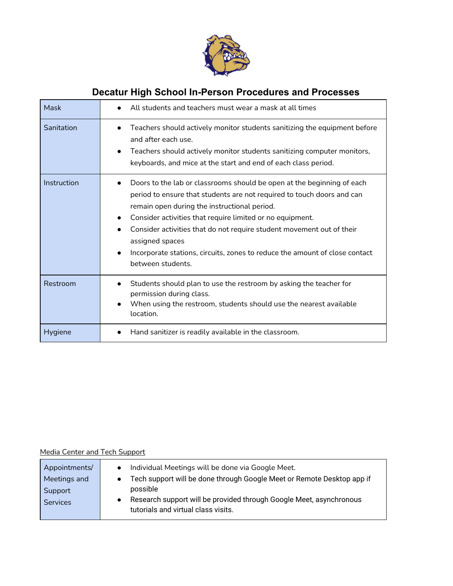

| Mask        | All students and teachers must wear a mask at all times                                                                                                                                                                                                                                                                                                                                                                                                                    |
|-------------|----------------------------------------------------------------------------------------------------------------------------------------------------------------------------------------------------------------------------------------------------------------------------------------------------------------------------------------------------------------------------------------------------------------------------------------------------------------------------|
| Sanitation  | Teachers should actively monitor students sanitizing the equipment before<br>$\bullet$<br>and after each use.<br>Teachers should actively monitor students sanitizing computer monitors,<br>keyboards, and mice at the start and end of each class period.                                                                                                                                                                                                                 |
| Instruction | Doors to the lab or classrooms should be open at the beginning of each<br>period to ensure that students are not required to touch doors and can<br>remain open during the instructional period.<br>Consider activities that require limited or no equipment.<br>Consider activities that do not require student movement out of their<br>assigned spaces<br>Incorporate stations, circuits, zones to reduce the amount of close contact<br>$\bullet$<br>between students. |
| Restroom    | Students should plan to use the restroom by asking the teacher for<br>permission during class.<br>When using the restroom, students should use the nearest available<br>$\bullet$<br>location.                                                                                                                                                                                                                                                                             |
| Hygiene     | Hand sanitizer is readily available in the classroom.                                                                                                                                                                                                                                                                                                                                                                                                                      |

### Media Center and Tech Support

| Appointments/   | Individual Meetings will be done via Google Meet.                                                          |
|-----------------|------------------------------------------------------------------------------------------------------------|
| Meetings and    | Tech support will be done through Google Meet or Remote Desktop app if                                     |
| Support         | possible                                                                                                   |
| <b>Services</b> | Research support will be provided through Google Meet, asynchronous<br>tutorials and virtual class visits. |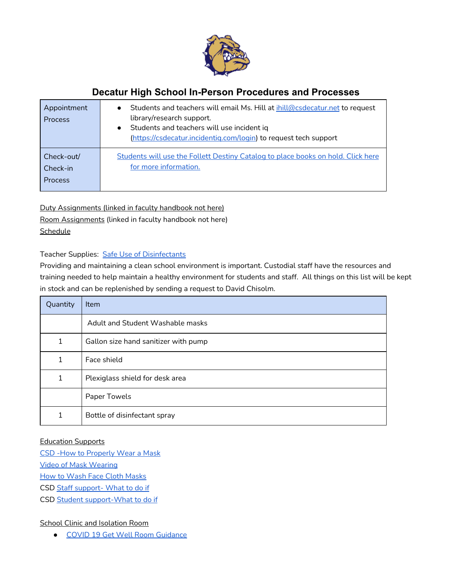

| Appointment<br><b>Process</b> | Students and teachers will email Ms. Hill at ihill@csdecatur.net to request<br>$\bullet$<br>library/research support.<br>Students and teachers will use incident iq<br>$\bullet$<br>(https://csdecatur.incidentig.com/login) to request tech support |
|-------------------------------|------------------------------------------------------------------------------------------------------------------------------------------------------------------------------------------------------------------------------------------------------|
| Check-out/                    | Students will use the Follett Destiny Catalog to place books on hold. Click here                                                                                                                                                                     |
| Check-in                      | for more information.                                                                                                                                                                                                                                |
| <b>Process</b>                |                                                                                                                                                                                                                                                      |

Duty Assignments (linked in faculty handbook not here) Room Assignments (linked in faculty handbook not here) Schedule

Teacher Supplies: Safe Use of [Disinfectants](https://www.epa.gov/sites/production/files/2020-04/documents/disinfectants-onepager.pdf)

Providing and maintaining a clean school environment is important. Custodial staff have the resources and training needed to help maintain a healthy environment for students and staff. All things on this list will be kept in stock and can be replenished by sending a request to David Chisolm.

| Quantity | Item                                 |
|----------|--------------------------------------|
|          | Adult and Student Washable masks     |
| 1        | Gallon size hand sanitizer with pump |
| 1        | Face shield                          |
| 1        | Plexiglass shield for desk area      |
|          | Paper Towels                         |
| 1        | Bottle of disinfectant spray         |

### Education Supports

CSD -How to [Properly](https://docs.google.com/presentation/d/1IXxhx25zdDXfaxC9Jrnz6Z_JT5Oj5lF5RPMPS_ioI2A/edit?usp=sharing) Wear a Mask Video of Mask [Wearing](https://www.youtube.com/watch?v=Mn6axdkbGd4) How to Wash Face Cloth [Masks](https://www.cdc.gov/coronavirus/2019-ncov/prevent-getting-sick/how-to-wash-cloth-face-coverings.html) CSD Staff [support-](http://docs.google.com/document/d/1nBrWiOkl-QDT7dc-CW9MQpJZdsKDY_AueHCR4Yy9Y6c/edit) What to do if

CSD Student [support-What](https://docs.google.com/document/d/17pWob8ntXdYmNhfhfEXmUdbkwS1gBqxGCAzww1xdDm0/edit?usp=sharing) to do if

### School Clinic and Isolation Room

● COVID 19 Get Well Room [Guidance](https://docs.google.com/document/d/1lj1TaIdtR64Sk-xMrvGeCDDGkb7GaogvZ3CAakII2I8/edit?usp=sharing)